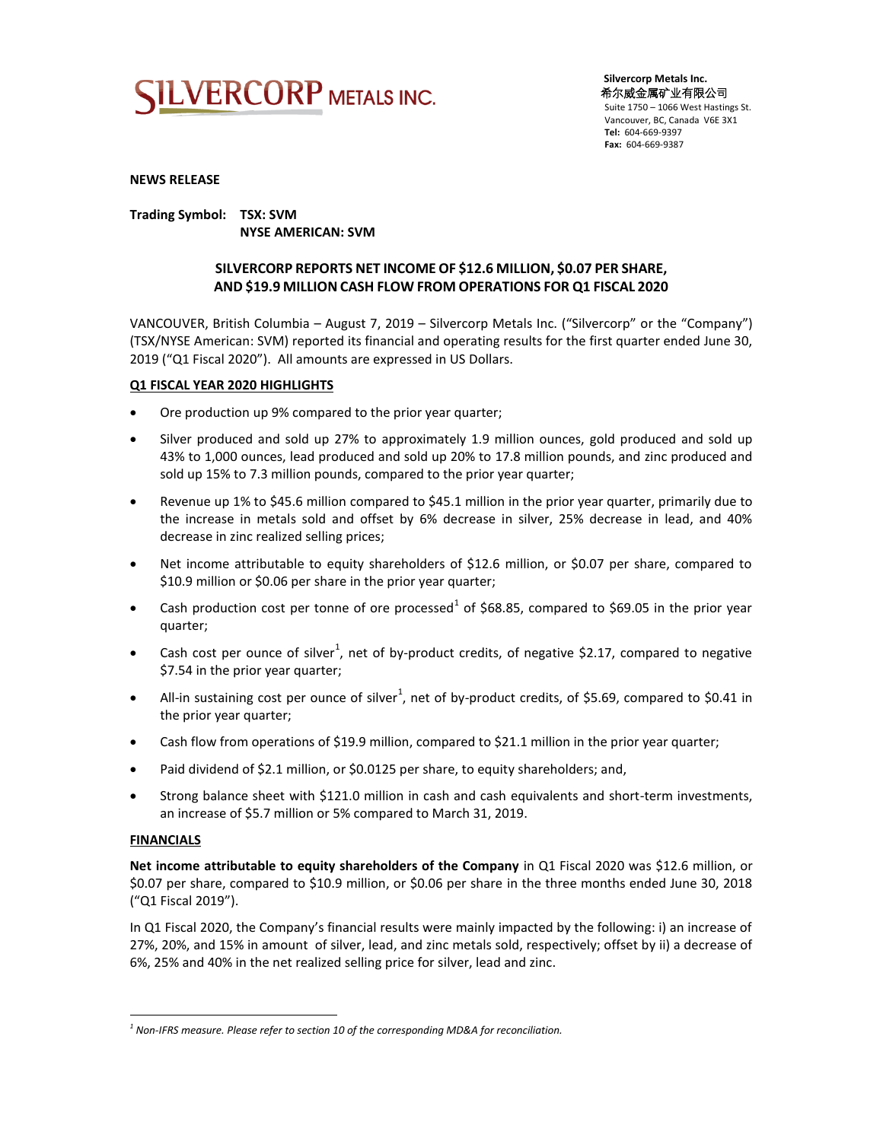

 **Silvercorp Metals Inc.** 希尔威金属矿业有限公司 Suite 1750 – 1066 West Hastings St. Vancouver, BC, Canada V6E 3X1 **Tel:** 604-669-9397  **Fax:** 604-669-9387

### **NEWS RELEASE**

**Trading Symbol: TSX: SVM NYSE AMERICAN: SVM**

### **SILVERCORP REPORTS NET INCOME OF \$12.6 MILLION, \$0.07 PER SHARE, AND \$19.9 MILLION CASH FLOW FROM OPERATIONS FOR Q1 FISCAL 2020**

VANCOUVER, British Columbia – August 7, 2019 – Silvercorp Metals Inc. ("Silvercorp" or the "Company") (TSX/NYSE American: SVM) reported its financial and operating results for the first quarter ended June 30, 2019 ("Q1 Fiscal 2020"). All amounts are expressed in US Dollars.

### **Q1 FISCAL YEAR 2020 HIGHLIGHTS**

- Ore production up 9% compared to the prior year quarter;
- Silver produced and sold up 27% to approximately 1.9 million ounces, gold produced and sold up 43% to 1,000 ounces, lead produced and sold up 20% to 17.8 million pounds, and zinc produced and sold up 15% to 7.3 million pounds, compared to the prior year quarter;
- Revenue up 1% to \$45.6 million compared to \$45.1 million in the prior year quarter, primarily due to the increase in metals sold and offset by 6% decrease in silver, 25% decrease in lead, and 40% decrease in zinc realized selling prices;
- Net income attributable to equity shareholders of \$12.6 million, or \$0.07 per share, compared to \$10.9 million or \$0.06 per share in the prior year quarter;
- Cash production cost per tonne of ore processed<sup>1</sup> of \$68.85, compared to \$69.05 in the prior year quarter;
- Cash cost per ounce of silver<sup>1</sup>, net of by-product credits, of negative \$2.17, compared to negative \$7.54 in the prior year quarter;
- All-in sustaining cost per ounce of silver<sup>1</sup>, net of by-product credits, of \$5.69, compared to \$0.41 in the prior year quarter;
- Cash flow from operations of \$19.9 million, compared to \$21.1 million in the prior year quarter;
- Paid dividend of \$2.1 million, or \$0.0125 per share, to equity shareholders; and,
- Strong balance sheet with \$121.0 million in cash and cash equivalents and short-term investments, an increase of \$5.7 million or 5% compared to March 31, 2019.

### **FINANCIALS**

 $\overline{a}$ 

**Net income attributable to equity shareholders of the Company** in Q1 Fiscal 2020 was \$12.6 million, or \$0.07 per share, compared to \$10.9 million, or \$0.06 per share in the three months ended June 30, 2018 ("Q1 Fiscal 2019").

In Q1 Fiscal 2020, the Company's financial results were mainly impacted by the following: i) an increase of 27%, 20%, and 15% in amount of silver, lead, and zinc metals sold, respectively; offset by ii) a decrease of 6%, 25% and 40% in the net realized selling price for silver, lead and zinc.

*<sup>1</sup> Non-IFRS measure. Please refer to section 10 of the corresponding MD&A for reconciliation.*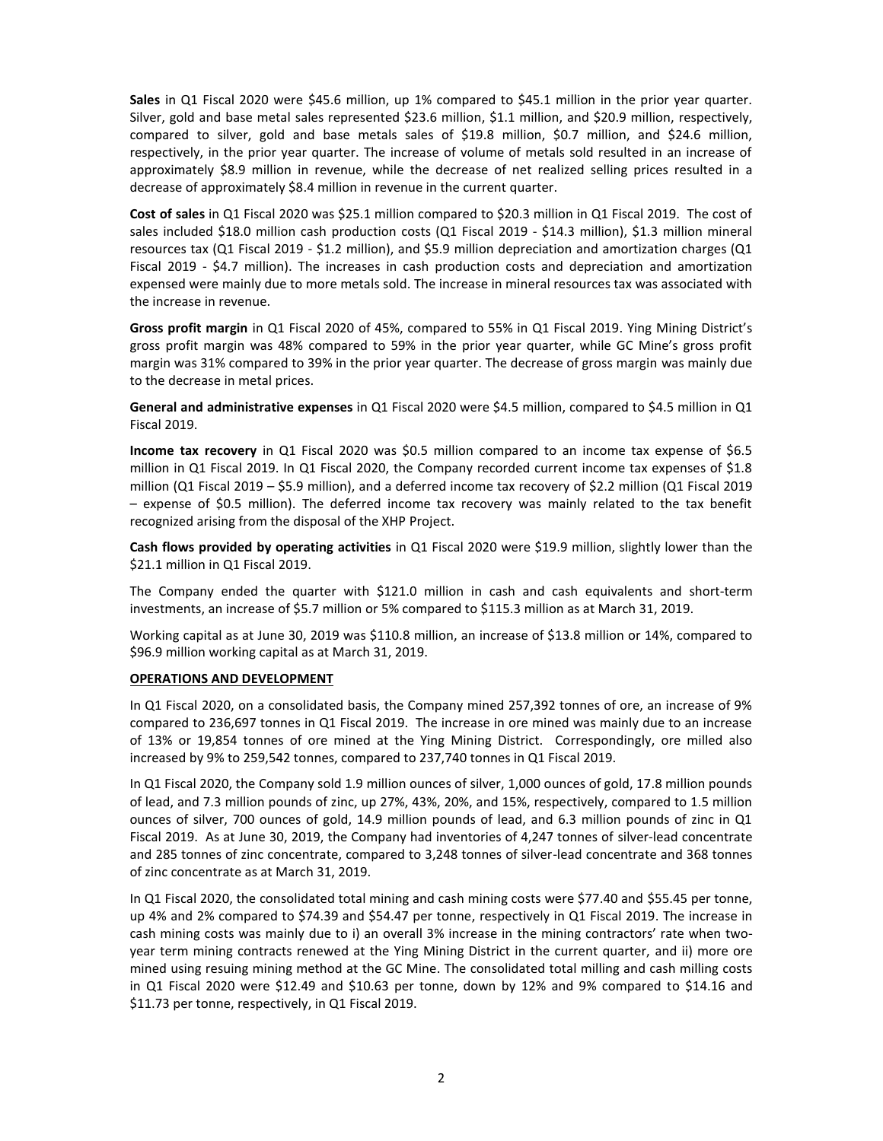**Sales** in Q1 Fiscal 2020 were \$45.6 million, up 1% compared to \$45.1 million in the prior year quarter. Silver, gold and base metal sales represented \$23.6 million, \$1.1 million, and \$20.9 million, respectively, compared to silver, gold and base metals sales of \$19.8 million, \$0.7 million, and \$24.6 million, respectively, in the prior year quarter. The increase of volume of metals sold resulted in an increase of approximately \$8.9 million in revenue, while the decrease of net realized selling prices resulted in a decrease of approximately \$8.4 million in revenue in the current quarter.

**Cost of sales** in Q1 Fiscal 2020 was \$25.1 million compared to \$20.3 million in Q1 Fiscal 2019. The cost of sales included \$18.0 million cash production costs (Q1 Fiscal 2019 - \$14.3 million), \$1.3 million mineral resources tax (Q1 Fiscal 2019 - \$1.2 million), and \$5.9 million depreciation and amortization charges (Q1 Fiscal 2019 - \$4.7 million). The increases in cash production costs and depreciation and amortization expensed were mainly due to more metals sold. The increase in mineral resources tax was associated with the increase in revenue.

**Gross profit margin** in Q1 Fiscal 2020 of 45%, compared to 55% in Q1 Fiscal 2019. Ying Mining District's gross profit margin was 48% compared to 59% in the prior year quarter, while GC Mine's gross profit margin was 31% compared to 39% in the prior year quarter. The decrease of gross margin was mainly due to the decrease in metal prices.

**General and administrative expenses** in Q1 Fiscal 2020 were \$4.5 million, compared to \$4.5 million in Q1 Fiscal 2019.

**Income tax recovery** in Q1 Fiscal 2020 was \$0.5 million compared to an income tax expense of \$6.5 million in Q1 Fiscal 2019. In Q1 Fiscal 2020, the Company recorded current income tax expenses of \$1.8 million (Q1 Fiscal 2019 – \$5.9 million), and a deferred income tax recovery of \$2.2 million (Q1 Fiscal 2019 – expense of \$0.5 million). The deferred income tax recovery was mainly related to the tax benefit recognized arising from the disposal of the XHP Project.

**Cash flows provided by operating activities** in Q1 Fiscal 2020 were \$19.9 million, slightly lower than the \$21.1 million in Q1 Fiscal 2019.

The Company ended the quarter with \$121.0 million in cash and cash equivalents and short-term investments, an increase of \$5.7 million or 5% compared to \$115.3 million as at March 31, 2019.

Working capital as at June 30, 2019 was \$110.8 million, an increase of \$13.8 million or 14%, compared to \$96.9 million working capital as at March 31, 2019.

### **OPERATIONS AND DEVELOPMENT**

In Q1 Fiscal 2020, on a consolidated basis, the Company mined 257,392 tonnes of ore, an increase of 9% compared to 236,697 tonnes in Q1 Fiscal 2019. The increase in ore mined was mainly due to an increase of 13% or 19,854 tonnes of ore mined at the Ying Mining District. Correspondingly, ore milled also increased by 9% to 259,542 tonnes, compared to 237,740 tonnes in Q1 Fiscal 2019.

In Q1 Fiscal 2020, the Company sold 1.9 million ounces of silver, 1,000 ounces of gold, 17.8 million pounds of lead, and 7.3 million pounds of zinc, up 27%, 43%, 20%, and 15%, respectively, compared to 1.5 million ounces of silver, 700 ounces of gold, 14.9 million pounds of lead, and 6.3 million pounds of zinc in Q1 Fiscal 2019. As at June 30, 2019, the Company had inventories of 4,247 tonnes of silver-lead concentrate and 285 tonnes of zinc concentrate, compared to 3,248 tonnes of silver-lead concentrate and 368 tonnes of zinc concentrate as at March 31, 2019.

In Q1 Fiscal 2020, the consolidated total mining and cash mining costs were \$77.40 and \$55.45 per tonne, up 4% and 2% compared to \$74.39 and \$54.47 per tonne, respectively in Q1 Fiscal 2019. The increase in cash mining costs was mainly due to i) an overall 3% increase in the mining contractors' rate when twoyear term mining contracts renewed at the Ying Mining District in the current quarter, and ii) more ore mined using resuing mining method at the GC Mine. The consolidated total milling and cash milling costs in Q1 Fiscal 2020 were \$12.49 and \$10.63 per tonne, down by 12% and 9% compared to \$14.16 and \$11.73 per tonne, respectively, in Q1 Fiscal 2019.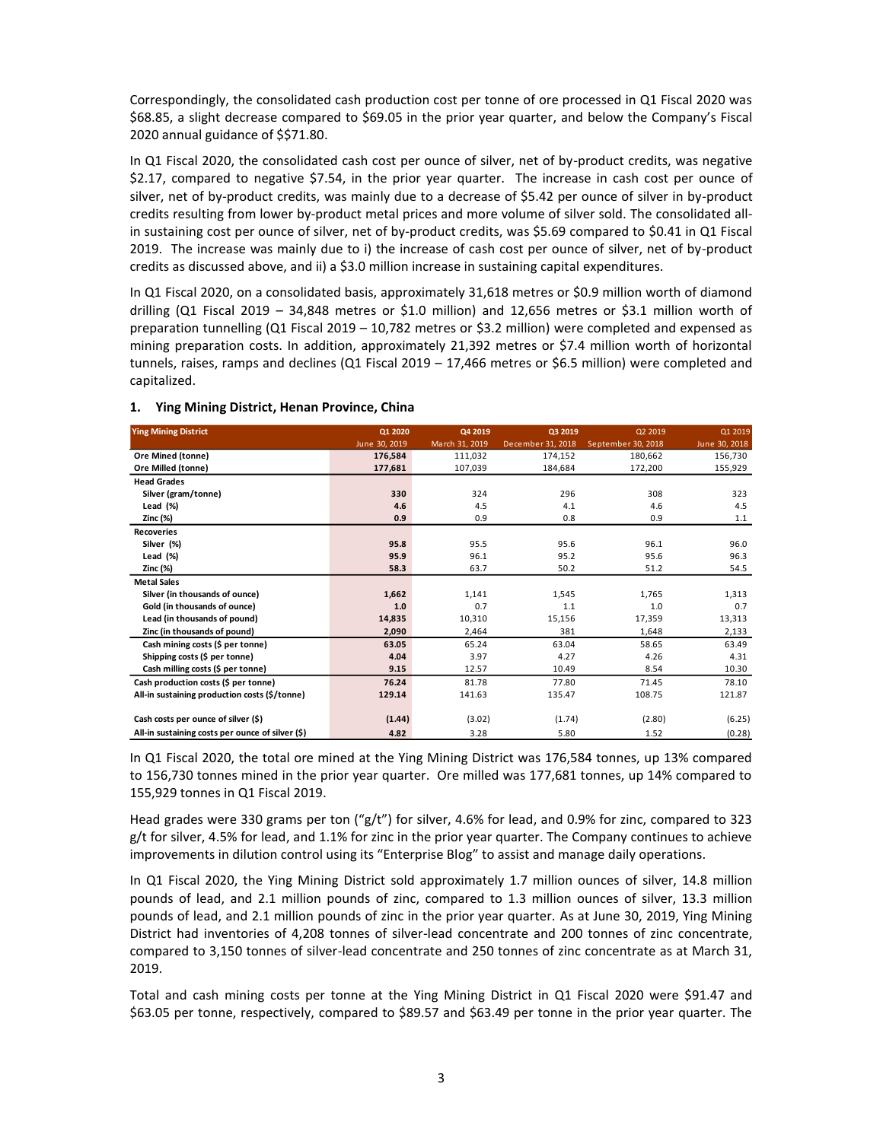Correspondingly, the consolidated cash production cost per tonne of ore processed in Q1 Fiscal 2020 was \$68.85, a slight decrease compared to \$69.05 in the prior year quarter, and below the Company's Fiscal 2020 annual guidance of \$\$71.80.

In Q1 Fiscal 2020, the consolidated cash cost per ounce of silver, net of by-product credits, was negative \$2.17, compared to negative \$7.54, in the prior year quarter. The increase in cash cost per ounce of silver, net of by-product credits, was mainly due to a decrease of \$5.42 per ounce of silver in by-product credits resulting from lower by-product metal prices and more volume of silver sold. The consolidated allin sustaining cost per ounce of silver, net of by-product credits, was \$5.69 compared to \$0.41 in Q1 Fiscal 2019. The increase was mainly due to i) the increase of cash cost per ounce of silver, net of by-product credits as discussed above, and ii) a \$3.0 million increase in sustaining capital expenditures.

In Q1 Fiscal 2020, on a consolidated basis, approximately 31,618 metres or \$0.9 million worth of diamond drilling (Q1 Fiscal 2019 – 34,848 metres or \$1.0 million) and 12,656 metres or \$3.1 million worth of preparation tunnelling (Q1 Fiscal 2019 – 10,782 metres or \$3.2 million) were completed and expensed as mining preparation costs. In addition, approximately 21,392 metres or \$7.4 million worth of horizontal tunnels, raises, ramps and declines (Q1 Fiscal 2019 – 17,466 metres or \$6.5 million) were completed and capitalized.

| <b>Ying Mining District</b>                      | Q1 2020       | Q4 2019        | Q3 2019           | Q2 2019            | Q1 2019       |
|--------------------------------------------------|---------------|----------------|-------------------|--------------------|---------------|
|                                                  | June 30, 2019 | March 31, 2019 | December 31, 2018 | September 30, 2018 | June 30, 2018 |
| Ore Mined (tonne)                                | 176,584       | 111,032        | 174,152           | 180,662            | 156,730       |
| Ore Milled (tonne)                               | 177,681       | 107,039        | 184,684           | 172,200            | 155,929       |
| <b>Head Grades</b>                               |               |                |                   |                    |               |
| Silver (gram/tonne)                              | 330           | 324            | 296               | 308                | 323           |
| Lead (%)                                         | 4.6           | 4.5            | 4.1               | 4.6                | 4.5           |
| Zinc (%)                                         | 0.9           | 0.9            | 0.8               | 0.9                | 1.1           |
| <b>Recoveries</b>                                |               |                |                   |                    |               |
| Silver (%)                                       | 95.8          | 95.5           | 95.6              | 96.1               | 96.0          |
| Lead (%)                                         | 95.9          | 96.1           | 95.2              | 95.6               | 96.3          |
| Zinc (%)                                         | 58.3          | 63.7           | 50.2              | 51.2               | 54.5          |
| <b>Metal Sales</b>                               |               |                |                   |                    |               |
| Silver (in thousands of ounce)                   | 1,662         | 1,141          | 1,545             | 1,765              | 1,313         |
| Gold (in thousands of ounce)                     | 1.0           | 0.7            | 1.1               | 1.0                | 0.7           |
| Lead (in thousands of pound)                     | 14,835        | 10,310         | 15,156            | 17,359             | 13,313        |
| Zinc (in thousands of pound)                     | 2,090         | 2,464          | 381               | 1,648              | 2,133         |
| Cash mining costs (\$ per tonne)                 | 63.05         | 65.24          | 63.04             | 58.65              | 63.49         |
| Shipping costs (\$ per tonne)                    | 4.04          | 3.97           | 4.27              | 4.26               | 4.31          |
| Cash milling costs (\$ per tonne)                | 9.15          | 12.57          | 10.49             | 8.54               | 10.30         |
| Cash production costs (\$ per tonne)             | 76.24         | 81.78          | 77.80             | 71.45              | 78.10         |
| All-in sustaining production costs (\$/tonne)    | 129.14        | 141.63         | 135.47            | 108.75             | 121.87        |
| Cash costs per ounce of silver (\$)              | (1.44)        | (3.02)         | (1.74)            | (2.80)             | (6.25)        |
| All-in sustaining costs per ounce of silver (\$) | 4.82          | 3.28           | 5.80              | 1.52               | (0.28)        |

### **1. Ying Mining District, Henan Province, China**

In Q1 Fiscal 2020, the total ore mined at the Ying Mining District was 176,584 tonnes, up 13% compared to 156,730 tonnes mined in the prior year quarter. Ore milled was 177,681 tonnes, up 14% compared to 155,929 tonnes in Q1 Fiscal 2019.

Head grades were 330 grams per ton ("g/t") for silver, 4.6% for lead, and 0.9% for zinc, compared to 323 g/t for silver, 4.5% for lead, and 1.1% for zinc in the prior year quarter. The Company continues to achieve improvements in dilution control using its "Enterprise Blog" to assist and manage daily operations.

In Q1 Fiscal 2020, the Ying Mining District sold approximately 1.7 million ounces of silver, 14.8 million pounds of lead, and 2.1 million pounds of zinc, compared to 1.3 million ounces of silver, 13.3 million pounds of lead, and 2.1 million pounds of zinc in the prior year quarter. As at June 30, 2019, Ying Mining District had inventories of 4,208 tonnes of silver-lead concentrate and 200 tonnes of zinc concentrate, compared to 3,150 tonnes of silver-lead concentrate and 250 tonnes of zinc concentrate as at March 31, 2019.

Total and cash mining costs per tonne at the Ying Mining District in Q1 Fiscal 2020 were \$91.47 and \$63.05 per tonne, respectively, compared to \$89.57 and \$63.49 per tonne in the prior year quarter. The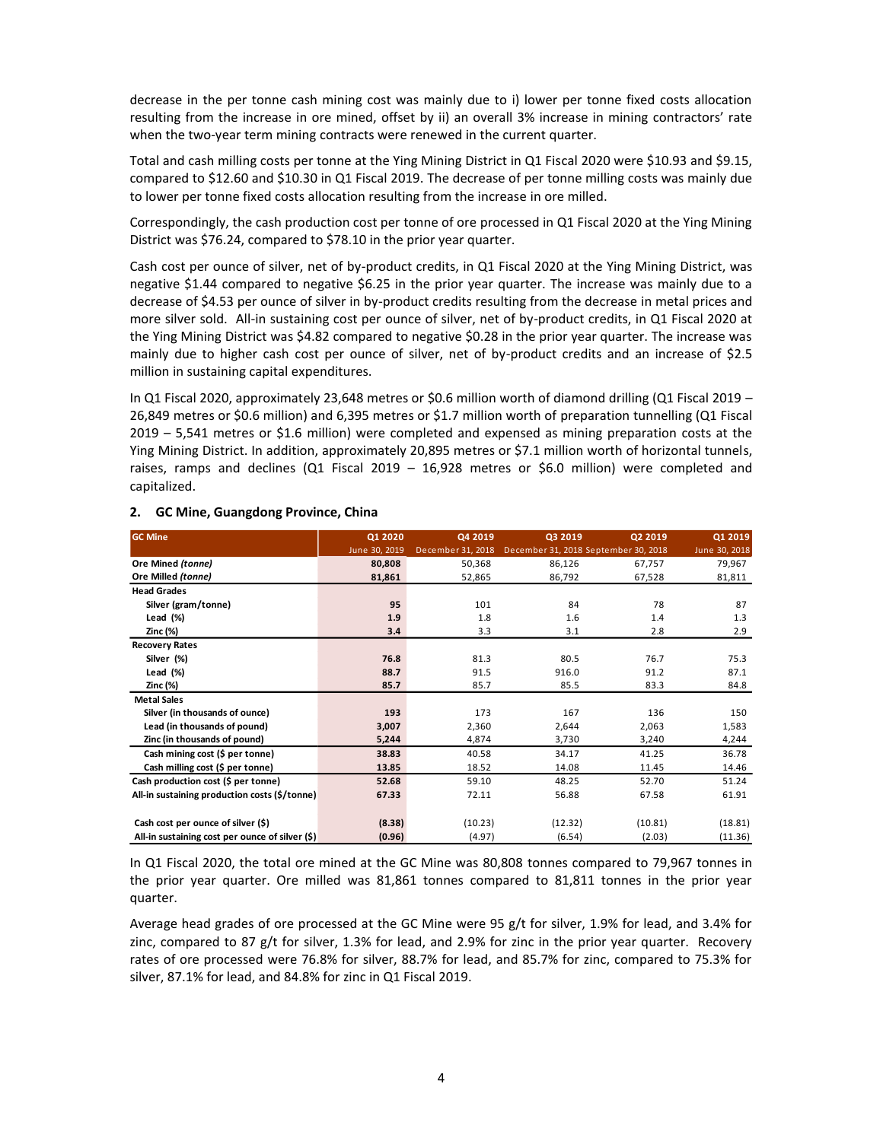decrease in the per tonne cash mining cost was mainly due to i) lower per tonne fixed costs allocation resulting from the increase in ore mined, offset by ii) an overall 3% increase in mining contractors' rate when the two-year term mining contracts were renewed in the current quarter.

Total and cash milling costs per tonne at the Ying Mining District in Q1 Fiscal 2020 were \$10.93 and \$9.15, compared to \$12.60 and \$10.30 in Q1 Fiscal 2019. The decrease of per tonne milling costs was mainly due to lower per tonne fixed costs allocation resulting from the increase in ore milled.

Correspondingly, the cash production cost per tonne of ore processed in Q1 Fiscal 2020 at the Ying Mining District was \$76.24, compared to \$78.10 in the prior year quarter.

Cash cost per ounce of silver, net of by-product credits, in Q1 Fiscal 2020 at the Ying Mining District, was negative \$1.44 compared to negative \$6.25 in the prior year quarter. The increase was mainly due to a decrease of \$4.53 per ounce of silver in by-product credits resulting from the decrease in metal prices and more silver sold. All-in sustaining cost per ounce of silver, net of by-product credits, in Q1 Fiscal 2020 at the Ying Mining District was \$4.82 compared to negative \$0.28 in the prior year quarter. The increase was mainly due to higher cash cost per ounce of silver, net of by-product credits and an increase of \$2.5 million in sustaining capital expenditures.

In Q1 Fiscal 2020, approximately 23,648 metres or \$0.6 million worth of diamond drilling (Q1 Fiscal 2019 – 26,849 metres or \$0.6 million) and 6,395 metres or \$1.7 million worth of preparation tunnelling (Q1 Fiscal 2019 – 5,541 metres or \$1.6 million) were completed and expensed as mining preparation costs at the Ying Mining District. In addition, approximately 20,895 metres or \$7.1 million worth of horizontal tunnels, raises, ramps and declines (Q1 Fiscal 2019 – 16,928 metres or \$6.0 million) were completed and capitalized.

| <b>GC Mine</b>                                  | Q1 2020       | Q4 2019           | Q3 2019 | Q2 2019                              | Q1 2019       |
|-------------------------------------------------|---------------|-------------------|---------|--------------------------------------|---------------|
|                                                 | June 30, 2019 | December 31, 2018 |         | December 31, 2018 September 30, 2018 | June 30, 2018 |
| Ore Mined (tonne)                               | 80,808        | 50,368            | 86,126  | 67,757                               | 79,967        |
| Ore Milled (tonne)                              | 81,861        | 52,865            | 86,792  | 67,528                               | 81,811        |
| <b>Head Grades</b>                              |               |                   |         |                                      |               |
| Silver (gram/tonne)                             | 95            | 101               | 84      | 78                                   | 87            |
| Lead $(\%)$                                     | 1.9           | 1.8               | 1.6     | 1.4                                  | 1.3           |
| Zinc (%)                                        | 3.4           | 3.3               | 3.1     | 2.8                                  | 2.9           |
| <b>Recovery Rates</b>                           |               |                   |         |                                      |               |
| Silver (%)                                      | 76.8          | 81.3              | 80.5    | 76.7                                 | 75.3          |
| Lead $(\%)$                                     | 88.7          | 91.5              | 916.0   | 91.2                                 | 87.1          |
| Zinc (%)                                        | 85.7          | 85.7              | 85.5    | 83.3                                 | 84.8          |
| <b>Metal Sales</b>                              |               |                   |         |                                      |               |
| Silver (in thousands of ounce)                  | 193           | 173               | 167     | 136                                  | 150           |
| Lead (in thousands of pound)                    | 3,007         | 2,360             | 2,644   | 2,063                                | 1,583         |
| Zinc (in thousands of pound)                    | 5,244         | 4,874             | 3,730   | 3,240                                | 4,244         |
| Cash mining cost (\$ per tonne)                 | 38.83         | 40.58             | 34.17   | 41.25                                | 36.78         |
| Cash milling cost (\$ per tonne)                | 13.85         | 18.52             | 14.08   | 11.45                                | 14.46         |
| Cash production cost (\$ per tonne)             | 52.68         | 59.10             | 48.25   | 52.70                                | 51.24         |
| All-in sustaining production costs (\$/tonne)   | 67.33         | 72.11             | 56.88   | 67.58                                | 61.91         |
|                                                 |               |                   |         |                                      |               |
| Cash cost per ounce of silver (\$)              | (8.38)        | (10.23)           | (12.32) | (10.81)                              | (18.81)       |
| All-in sustaining cost per ounce of silver (\$) | (0.96)        | (4.97)            | (6.54)  | (2.03)                               | (11.36)       |

### **2. GC Mine, Guangdong Province, China**

In Q1 Fiscal 2020, the total ore mined at the GC Mine was 80,808 tonnes compared to 79,967 tonnes in the prior year quarter. Ore milled was 81,861 tonnes compared to 81,811 tonnes in the prior year quarter.

Average head grades of ore processed at the GC Mine were 95 g/t for silver, 1.9% for lead, and 3.4% for zinc, compared to 87 g/t for silver, 1.3% for lead, and 2.9% for zinc in the prior year quarter. Recovery rates of ore processed were 76.8% for silver, 88.7% for lead, and 85.7% for zinc, compared to 75.3% for silver, 87.1% for lead, and 84.8% for zinc in Q1 Fiscal 2019.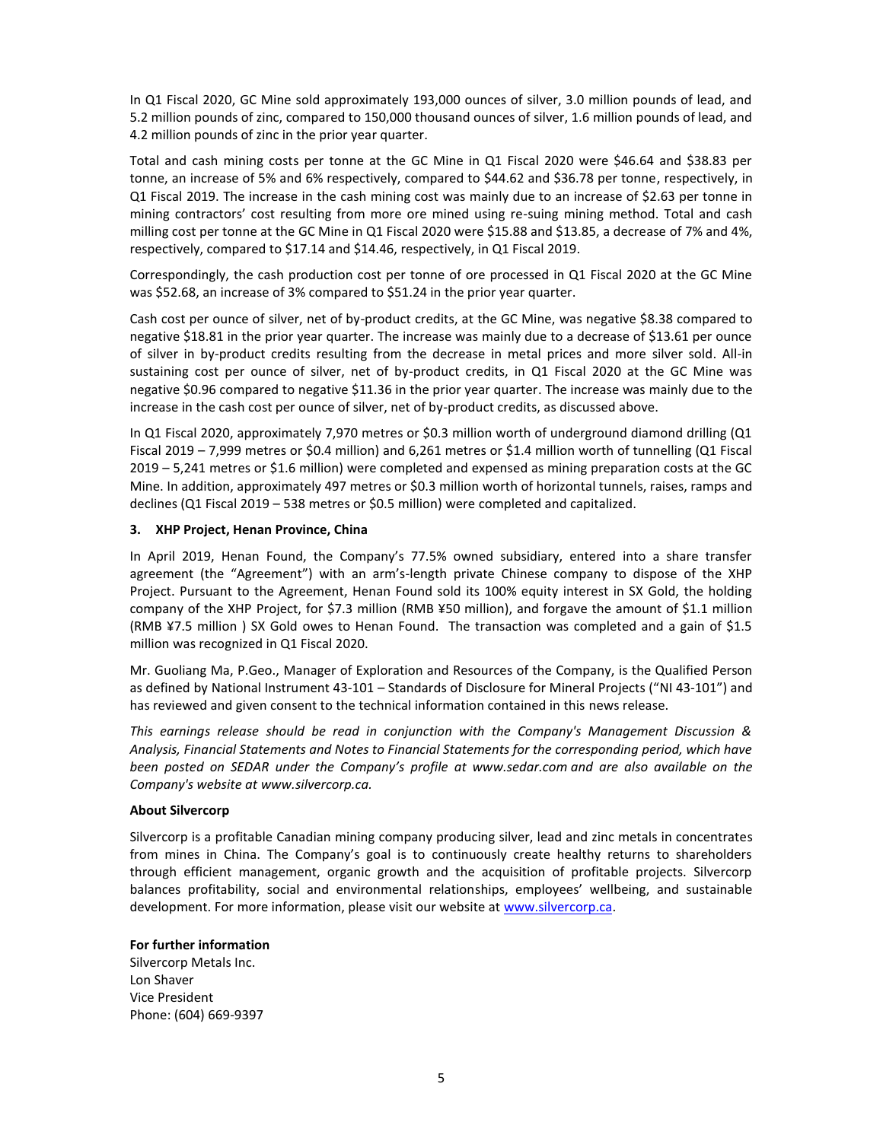In Q1 Fiscal 2020, GC Mine sold approximately 193,000 ounces of silver, 3.0 million pounds of lead, and 5.2 million pounds of zinc, compared to 150,000 thousand ounces of silver, 1.6 million pounds of lead, and 4.2 million pounds of zinc in the prior year quarter.

Total and cash mining costs per tonne at the GC Mine in Q1 Fiscal 2020 were \$46.64 and \$38.83 per tonne, an increase of 5% and 6% respectively, compared to \$44.62 and \$36.78 per tonne, respectively, in Q1 Fiscal 2019. The increase in the cash mining cost was mainly due to an increase of \$2.63 per tonne in mining contractors' cost resulting from more ore mined using re-suing mining method. Total and cash milling cost per tonne at the GC Mine in Q1 Fiscal 2020 were \$15.88 and \$13.85, a decrease of 7% and 4%, respectively, compared to \$17.14 and \$14.46, respectively, in Q1 Fiscal 2019.

Correspondingly, the cash production cost per tonne of ore processed in Q1 Fiscal 2020 at the GC Mine was \$52.68, an increase of 3% compared to \$51.24 in the prior year quarter.

Cash cost per ounce of silver, net of by-product credits, at the GC Mine, was negative \$8.38 compared to negative \$18.81 in the prior year quarter. The increase was mainly due to a decrease of \$13.61 per ounce of silver in by-product credits resulting from the decrease in metal prices and more silver sold. All-in sustaining cost per ounce of silver, net of by-product credits, in Q1 Fiscal 2020 at the GC Mine was negative \$0.96 compared to negative \$11.36 in the prior year quarter. The increase was mainly due to the increase in the cash cost per ounce of silver, net of by-product credits, as discussed above.

In Q1 Fiscal 2020, approximately 7,970 metres or \$0.3 million worth of underground diamond drilling (Q1 Fiscal 2019 – 7,999 metres or \$0.4 million) and 6,261 metres or \$1.4 million worth of tunnelling (Q1 Fiscal 2019 – 5,241 metres or \$1.6 million) were completed and expensed as mining preparation costs at the GC Mine. In addition, approximately 497 metres or \$0.3 million worth of horizontal tunnels, raises, ramps and declines (Q1 Fiscal 2019 – 538 metres or \$0.5 million) were completed and capitalized.

### **3. XHP Project, Henan Province, China**

In April 2019, Henan Found, the Company's 77.5% owned subsidiary, entered into a share transfer agreement (the "Agreement") with an arm's-length private Chinese company to dispose of the XHP Project. Pursuant to the Agreement, Henan Found sold its 100% equity interest in SX Gold, the holding company of the XHP Project, for \$7.3 million (RMB ¥50 million), and forgave the amount of \$1.1 million (RMB ¥7.5 million ) SX Gold owes to Henan Found. The transaction was completed and a gain of \$1.5 million was recognized in Q1 Fiscal 2020.

Mr. Guoliang Ma, P.Geo., Manager of Exploration and Resources of the Company, is the Qualified Person as defined by National Instrument 43-101 – Standards of Disclosure for Mineral Projects ("NI 43-101") and has reviewed and given consent to the technical information contained in this news release.

*This earnings release should be read in conjunction with the Company's Management Discussion & Analysis, Financial Statements and Notes to Financial Statements for the corresponding period, which have been posted on SEDAR under the Company's profile at www.sedar.com and are also available on the Company's website at www.silvercorp.ca.* 

### **About Silvercorp**

Silvercorp is a profitable Canadian mining company producing silver, lead and zinc metals in concentrates from mines in China. The Company's goal is to continuously create healthy returns to shareholders through efficient management, organic growth and the acquisition of profitable projects. Silvercorp balances profitability, social and environmental relationships, employees' wellbeing, and sustainable development. For more information, please visit our website a[t www.silvercorp.ca.](http://www.silvercorp.ca/)

### **For further information**

Silvercorp Metals Inc. Lon Shaver Vice President Phone: (604) 669-9397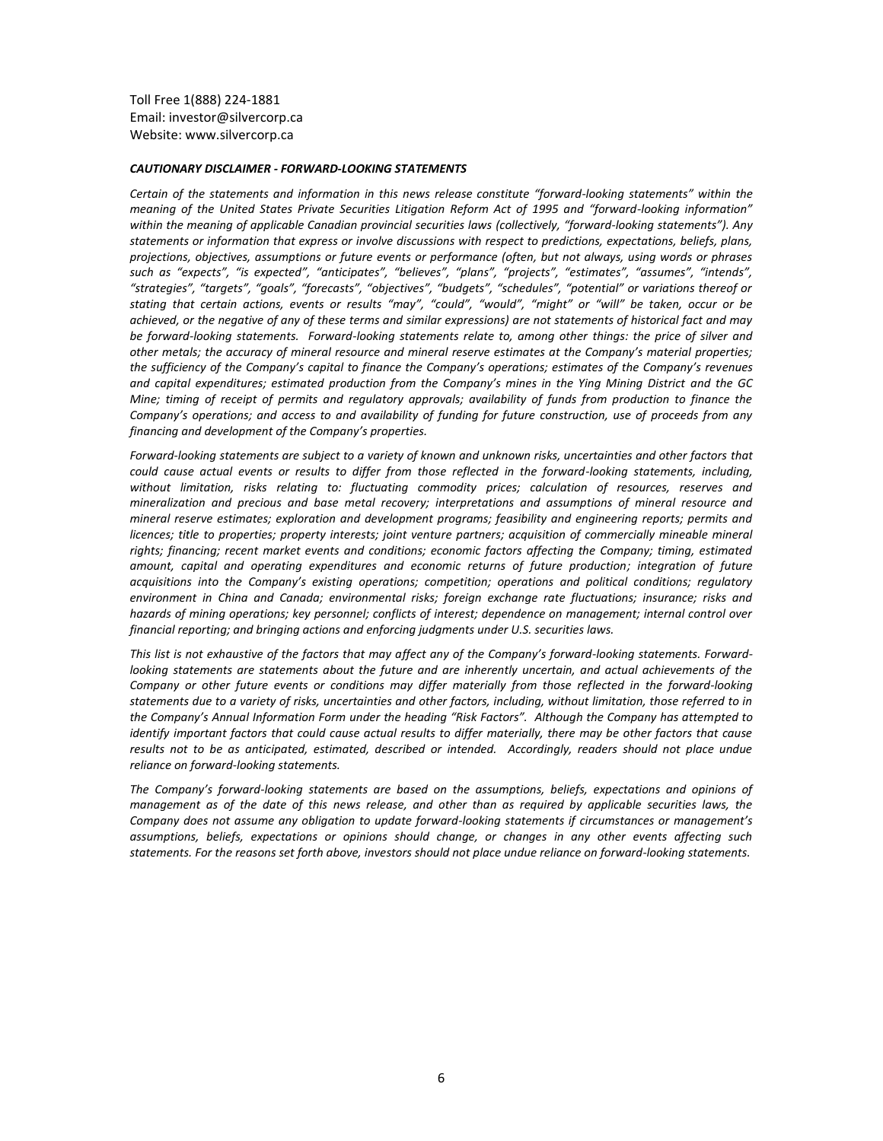Toll Free 1(888) 224-1881 Email: investor@silvercorp.ca Website: www.silvercorp.ca

#### *CAUTIONARY DISCLAIMER - FORWARD-LOOKING STATEMENTS*

*Certain of the statements and information in this news release constitute "forward-looking statements" within the meaning of the United States Private Securities Litigation Reform Act of 1995 and "forward-looking information" within the meaning of applicable Canadian provincial securities laws (collectively, "forward-looking statements"). Any statements or information that express or involve discussions with respect to predictions, expectations, beliefs, plans, projections, objectives, assumptions or future events or performance (often, but not always, using words or phrases such as "expects", "is expected", "anticipates", "believes", "plans", "projects", "estimates", "assumes", "intends", "strategies", "targets", "goals", "forecasts", "objectives", "budgets", "schedules", "potential" or variations thereof or stating that certain actions, events or results "may", "could", "would", "might" or "will" be taken, occur or be achieved, or the negative of any of these terms and similar expressions) are not statements of historical fact and may be forward-looking statements. Forward-looking statements relate to, among other things: the price of silver and other metals; the accuracy of mineral resource and mineral reserve estimates at the Company's material properties; the sufficiency of the Company's capital to finance the Company's operations; estimates of the Company's revenues and capital expenditures; estimated production from the Company's mines in the Ying Mining District and the GC Mine; timing of receipt of permits and regulatory approvals; availability of funds from production to finance the Company's operations; and access to and availability of funding for future construction, use of proceeds from any financing and development of the Company's properties.*

*Forward-looking statements are subject to a variety of known and unknown risks, uncertainties and other factors that could cause actual events or results to differ from those reflected in the forward-looking statements, including, without limitation, risks relating to: fluctuating commodity prices; calculation of resources, reserves and mineralization and precious and base metal recovery; interpretations and assumptions of mineral resource and mineral reserve estimates; exploration and development programs; feasibility and engineering reports; permits and licences; title to properties; property interests; joint venture partners; acquisition of commercially mineable mineral rights; financing; recent market events and conditions; economic factors affecting the Company; timing, estimated amount, capital and operating expenditures and economic returns of future production; integration of future acquisitions into the Company's existing operations; competition; operations and political conditions; regulatory environment in China and Canada; environmental risks; foreign exchange rate fluctuations; insurance; risks and hazards of mining operations; key personnel; conflicts of interest; dependence on management; internal control over financial reporting; and bringing actions and enforcing judgments under U.S. securities laws.*

*This list is not exhaustive of the factors that may affect any of the Company's forward-looking statements. Forwardlooking statements are statements about the future and are inherently uncertain, and actual achievements of the Company or other future events or conditions may differ materially from those reflected in the forward-looking statements due to a variety of risks, uncertainties and other factors, including, without limitation, those referred to in the Company's Annual Information Form under the heading "Risk Factors". Although the Company has attempted to identify important factors that could cause actual results to differ materially, there may be other factors that cause results not to be as anticipated, estimated, described or intended. Accordingly, readers should not place undue reliance on forward-looking statements.* 

*The Company's forward-looking statements are based on the assumptions, beliefs, expectations and opinions of management as of the date of this news release, and other than as required by applicable securities laws, the Company does not assume any obligation to update forward-looking statements if circumstances or management's assumptions, beliefs, expectations or opinions should change, or changes in any other events affecting such statements. For the reasons set forth above, investors should not place undue reliance on forward-looking statements.*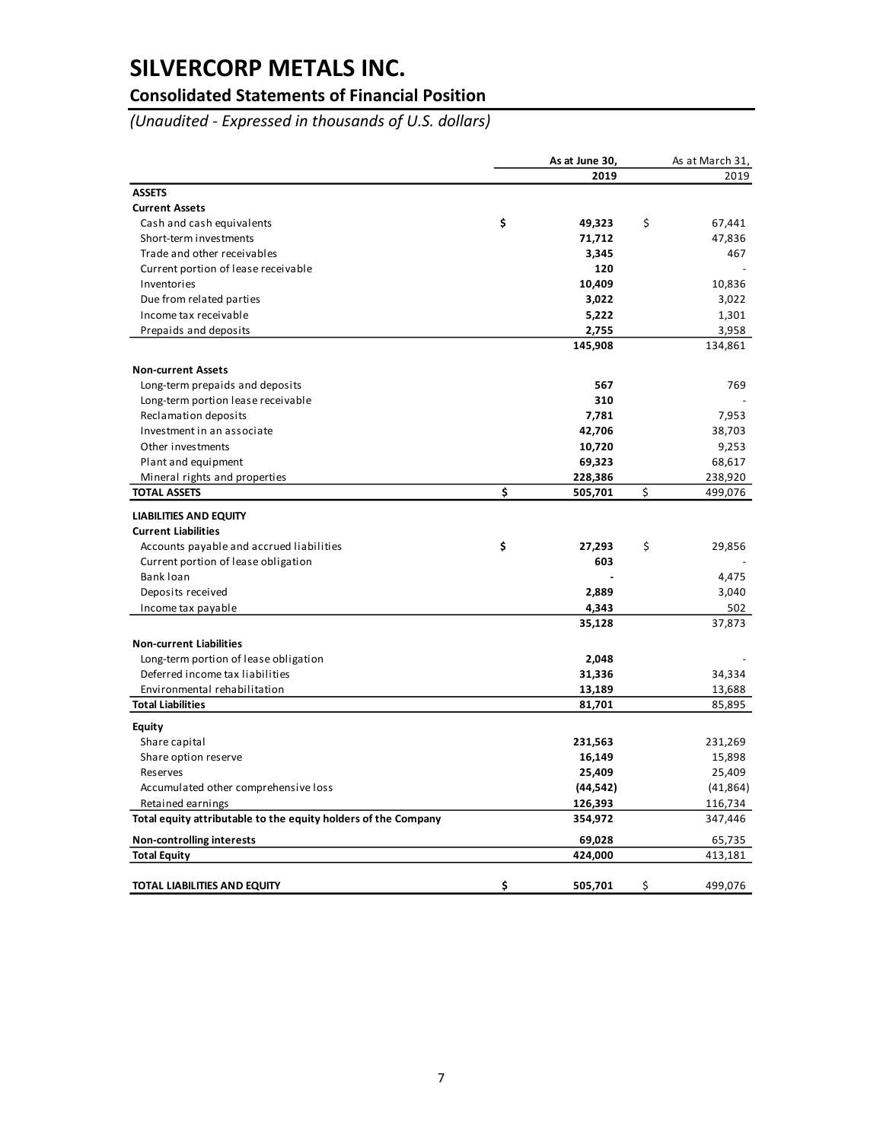### **Consolidated Statements of Financial Position**

*(Unaudited - Expressed in thousands of U.S. dollars)*

|                                                                | As at June 30, | As at March 31, |
|----------------------------------------------------------------|----------------|-----------------|
|                                                                | 2019           | 2019            |
| <b>ASSETS</b>                                                  |                |                 |
| <b>Current Assets</b>                                          |                |                 |
| Cash and cash equivalents                                      | \$<br>49,323   | \$<br>67,441    |
| Short-term investments                                         | 71,712         | 47,836          |
| Trade and other receivables                                    | 3,345          | 467             |
| Current portion of lease receivable                            | 120            |                 |
| Inventories                                                    | 10,409         | 10,836          |
| Due from related parties                                       | 3,022          | 3,022           |
| Income tax receivable                                          | 5,222          | 1,301           |
| Prepaids and deposits                                          | 2,755          | 3,958           |
|                                                                | 145,908        | 134,861         |
| <b>Non-current Assets</b>                                      |                |                 |
| Long-term prepaids and deposits                                | 567            | 769             |
| Long-term portion lease receivable                             | 310            |                 |
| Reclamation deposits                                           | 7,781          | 7,953           |
| Investment in an associate                                     | 42,706         | 38,703          |
| Other investments                                              | 10,720         | 9,253           |
| Plant and equipment                                            | 69,323         | 68,617          |
| Mineral rights and properties                                  | 228,386        | 238,920         |
| <b>TOTAL ASSETS</b>                                            | \$<br>505,701  | \$<br>499,076   |
| <b>LIABILITIES AND EQUITY</b>                                  |                |                 |
| <b>Current Liabilities</b>                                     |                |                 |
| Accounts payable and accrued liabilities                       | \$<br>27,293   | \$<br>29,856    |
| Current portion of lease obligation                            | 603            |                 |
| Bank loan                                                      |                | 4,475           |
| Deposits received                                              | 2,889          | 3,040           |
| Income tax payable                                             | 4,343          | 502             |
|                                                                | 35,128         | 37,873          |
| <b>Non-current Liabilities</b>                                 |                |                 |
| Long-term portion of lease obligation                          | 2,048          |                 |
| Deferred income tax liabilities                                | 31,336         | 34,334          |
| Environmental rehabilitation                                   | 13,189         | 13,688          |
| <b>Total Liabilities</b>                                       | 81,701         | 85,895          |
| <b>Equity</b>                                                  |                |                 |
| Share capital                                                  | 231,563        | 231,269         |
| Share option reserve                                           | 16,149         | 15,898          |
| Reserves                                                       | 25,409         | 25,409          |
| Accumulated other comprehensive loss                           | (44, 542)      | (41, 864)       |
| Retained earnings                                              | 126,393        | 116,734         |
| Total equity attributable to the equity holders of the Company | 354,972        | 347,446         |
| Non-controlling interests                                      | 69,028         | 65,735          |
| <b>Total Equity</b>                                            | 424,000        | 413,181         |
| TOTAL LIABILITIES AND EQUITY                                   | \$<br>505,701  | \$<br>499,076   |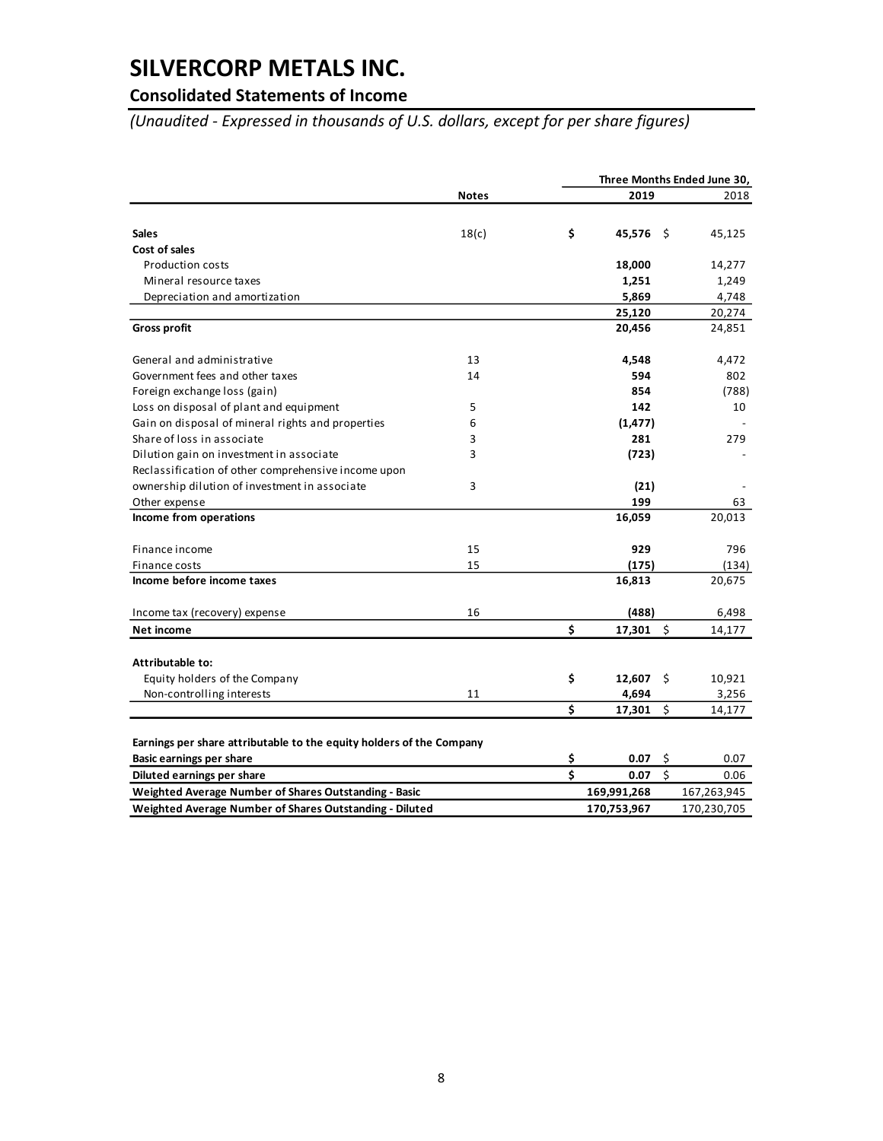### **Consolidated Statements of Income**

*(Unaudited - Expressed in thousands of U.S. dollars, except for per share figures)*

|                                                                      |              | Three Months Ended June 30, |    |             |  |
|----------------------------------------------------------------------|--------------|-----------------------------|----|-------------|--|
|                                                                      | <b>Notes</b> | 2019                        |    | 2018        |  |
|                                                                      |              |                             |    |             |  |
| <b>Sales</b>                                                         | 18(c)        | \$<br>45,576 \$             |    | 45,125      |  |
| Cost of sales                                                        |              |                             |    |             |  |
| <b>Production costs</b>                                              |              | 18,000                      |    | 14,277      |  |
| Mineral resource taxes                                               |              | 1,251                       |    | 1,249       |  |
| Depreciation and amortization                                        |              | 5,869                       |    | 4,748       |  |
|                                                                      |              | 25,120                      |    | 20,274      |  |
| <b>Gross profit</b>                                                  |              | 20,456                      |    | 24,851      |  |
| General and administrative                                           | 13           | 4,548                       |    | 4,472       |  |
| Government fees and other taxes                                      | 14           | 594                         |    | 802         |  |
| Foreign exchange loss (gain)                                         |              | 854                         |    | (788)       |  |
| Loss on disposal of plant and equipment                              | 5            | 142                         |    | 10          |  |
| Gain on disposal of mineral rights and properties                    | 6            | (1, 477)                    |    |             |  |
| Share of loss in associate                                           | 3            | 281                         |    | 279         |  |
| Dilution gain on investment in associate                             | 3            | (723)                       |    |             |  |
| Reclassification of other comprehensive income upon                  |              |                             |    |             |  |
| ownership dilution of investment in associate                        | 3            | (21)                        |    |             |  |
| Other expense                                                        |              | 199                         |    | 63          |  |
| Income from operations                                               |              | 16,059                      |    | 20,013      |  |
| Finance income                                                       | 15           | 929                         |    | 796         |  |
| Finance costs                                                        | 15           | (175)                       |    | (134)       |  |
| Income before income taxes                                           |              | 16,813                      |    | 20,675      |  |
| Income tax (recovery) expense                                        | 16           | (488)                       |    | 6,498       |  |
| Net income                                                           |              | \$<br>17,301                | Ś  | 14,177      |  |
| Attributable to:                                                     |              |                             |    |             |  |
| Equity holders of the Company                                        |              | \$<br>12,607                | \$ | 10,921      |  |
| Non-controlling interests                                            | 11           | 4,694                       |    | 3,256       |  |
|                                                                      |              | \$<br>17,301                | \$ | 14,177      |  |
|                                                                      |              |                             |    |             |  |
| Earnings per share attributable to the equity holders of the Company |              |                             |    |             |  |
| <b>Basic earnings per share</b>                                      |              | \$<br>0.07                  | \$ | 0.07        |  |
| Diluted earnings per share                                           |              | \$<br>0.07                  | Ś  | 0.06        |  |
| Weighted Average Number of Shares Outstanding - Basic                |              | 169,991,268                 |    | 167,263,945 |  |
| Weighted Average Number of Shares Outstanding - Diluted              |              | 170,753,967                 |    | 170,230,705 |  |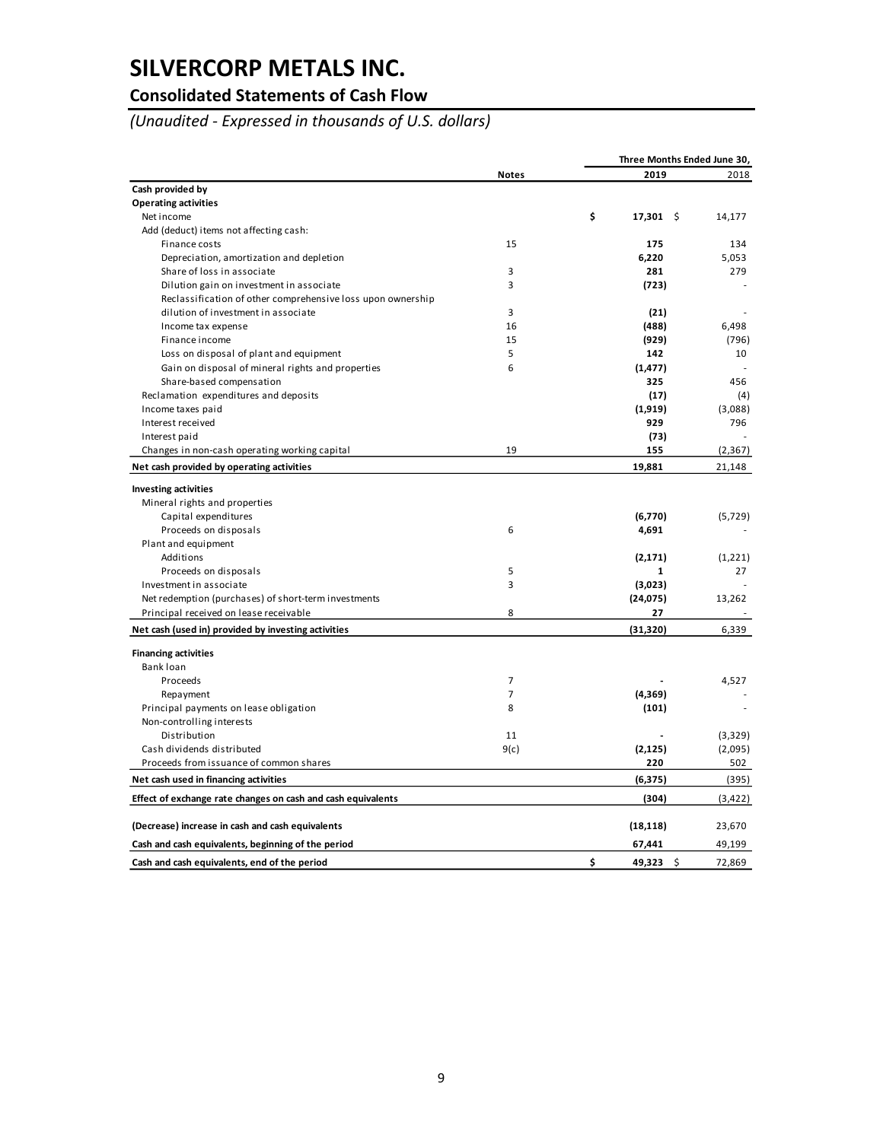### **Consolidated Statements of Cash Flow**

*(Unaudited - Expressed in thousands of U.S. dollars)*

| 2019<br>2018<br><b>Notes</b><br>Cash provided by<br><b>Operating activities</b><br>\$<br>Net income<br>$17,301$ \$<br>14,177<br>Add (deduct) items not affecting cash:<br>15<br>Finance costs<br>175<br>134<br>Depreciation, amortization and depletion<br>6,220<br>5,053<br>3<br>Share of loss in associate<br>281<br>279<br>$\overline{3}$<br>Dilution gain on investment in associate<br>(723)<br>Reclassification of other comprehensive loss upon ownership<br>3<br>dilution of investment in associate<br>(21)<br>16<br>(488)<br>6,498<br>Income tax expense<br>15<br>(929)<br>Finance income<br>(796)<br>Loss on disposal of plant and equipment<br>5<br>142<br>10<br>Gain on disposal of mineral rights and properties<br>6<br>(1, 477)<br>Share-based compensation<br>325<br>456<br>Reclamation expenditures and deposits<br>(17)<br>(4)<br>Income taxes paid<br>(1,919)<br>(3,088)<br>929<br>796<br>Interest received<br>Interest paid<br>(73)<br>19<br>155<br>(2, 367)<br>Changes in non-cash operating working capital<br>19,881<br>Net cash provided by operating activities<br>21,148<br><b>Investing activities</b><br>Mineral rights and properties<br>Capital expenditures<br>(6,770)<br>(5, 729)<br>6<br>Proceeds on disposals<br>4,691<br>Plant and equipment<br>Additions<br>(2, 171)<br>(1,221)<br>5<br>1<br>27<br>Proceeds on disposals<br>3<br>Investment in associate<br>(3,023)<br>Net redemption (purchases) of short-term investments<br>(24, 075)<br>13,262<br>Principal received on lease receivable<br>8<br>27<br>(31, 320)<br>6,339<br>Net cash (used in) provided by investing activities<br><b>Financing activities</b><br>Bank loan<br>Proceeds<br>7<br>4,527<br>$\overline{7}$<br>(4, 369)<br>Repayment<br>8<br>Principal payments on lease obligation<br>(101)<br>Non-controlling interests<br>Distribution<br>11<br>(3,329)<br>Cash dividends distributed<br>9(c)<br>(2, 125)<br>(2,095)<br>220<br>Proceeds from issuance of common shares<br>502<br>Net cash used in financing activities<br>(6, 375)<br>(395)<br>Effect of exchange rate changes on cash and cash equivalents<br>(304)<br>(3, 422)<br>(Decrease) increase in cash and cash equivalents<br>(18, 118)<br>23,670<br>67,441<br>49,199<br>Cash and cash equivalents, beginning of the period<br>\$<br>49,323 \$<br>Cash and cash equivalents, end of the period<br>72,869 |  | Three Months Ended June 30, |  |
|-----------------------------------------------------------------------------------------------------------------------------------------------------------------------------------------------------------------------------------------------------------------------------------------------------------------------------------------------------------------------------------------------------------------------------------------------------------------------------------------------------------------------------------------------------------------------------------------------------------------------------------------------------------------------------------------------------------------------------------------------------------------------------------------------------------------------------------------------------------------------------------------------------------------------------------------------------------------------------------------------------------------------------------------------------------------------------------------------------------------------------------------------------------------------------------------------------------------------------------------------------------------------------------------------------------------------------------------------------------------------------------------------------------------------------------------------------------------------------------------------------------------------------------------------------------------------------------------------------------------------------------------------------------------------------------------------------------------------------------------------------------------------------------------------------------------------------------------------------------------------------------------------------------------------------------------------------------------------------------------------------------------------------------------------------------------------------------------------------------------------------------------------------------------------------------------------------------------------------------------------------------------------------------------------------------------------------------------------------------------------------|--|-----------------------------|--|
|                                                                                                                                                                                                                                                                                                                                                                                                                                                                                                                                                                                                                                                                                                                                                                                                                                                                                                                                                                                                                                                                                                                                                                                                                                                                                                                                                                                                                                                                                                                                                                                                                                                                                                                                                                                                                                                                                                                                                                                                                                                                                                                                                                                                                                                                                                                                                                             |  |                             |  |
|                                                                                                                                                                                                                                                                                                                                                                                                                                                                                                                                                                                                                                                                                                                                                                                                                                                                                                                                                                                                                                                                                                                                                                                                                                                                                                                                                                                                                                                                                                                                                                                                                                                                                                                                                                                                                                                                                                                                                                                                                                                                                                                                                                                                                                                                                                                                                                             |  |                             |  |
|                                                                                                                                                                                                                                                                                                                                                                                                                                                                                                                                                                                                                                                                                                                                                                                                                                                                                                                                                                                                                                                                                                                                                                                                                                                                                                                                                                                                                                                                                                                                                                                                                                                                                                                                                                                                                                                                                                                                                                                                                                                                                                                                                                                                                                                                                                                                                                             |  |                             |  |
|                                                                                                                                                                                                                                                                                                                                                                                                                                                                                                                                                                                                                                                                                                                                                                                                                                                                                                                                                                                                                                                                                                                                                                                                                                                                                                                                                                                                                                                                                                                                                                                                                                                                                                                                                                                                                                                                                                                                                                                                                                                                                                                                                                                                                                                                                                                                                                             |  |                             |  |
|                                                                                                                                                                                                                                                                                                                                                                                                                                                                                                                                                                                                                                                                                                                                                                                                                                                                                                                                                                                                                                                                                                                                                                                                                                                                                                                                                                                                                                                                                                                                                                                                                                                                                                                                                                                                                                                                                                                                                                                                                                                                                                                                                                                                                                                                                                                                                                             |  |                             |  |
|                                                                                                                                                                                                                                                                                                                                                                                                                                                                                                                                                                                                                                                                                                                                                                                                                                                                                                                                                                                                                                                                                                                                                                                                                                                                                                                                                                                                                                                                                                                                                                                                                                                                                                                                                                                                                                                                                                                                                                                                                                                                                                                                                                                                                                                                                                                                                                             |  |                             |  |
|                                                                                                                                                                                                                                                                                                                                                                                                                                                                                                                                                                                                                                                                                                                                                                                                                                                                                                                                                                                                                                                                                                                                                                                                                                                                                                                                                                                                                                                                                                                                                                                                                                                                                                                                                                                                                                                                                                                                                                                                                                                                                                                                                                                                                                                                                                                                                                             |  |                             |  |
|                                                                                                                                                                                                                                                                                                                                                                                                                                                                                                                                                                                                                                                                                                                                                                                                                                                                                                                                                                                                                                                                                                                                                                                                                                                                                                                                                                                                                                                                                                                                                                                                                                                                                                                                                                                                                                                                                                                                                                                                                                                                                                                                                                                                                                                                                                                                                                             |  |                             |  |
|                                                                                                                                                                                                                                                                                                                                                                                                                                                                                                                                                                                                                                                                                                                                                                                                                                                                                                                                                                                                                                                                                                                                                                                                                                                                                                                                                                                                                                                                                                                                                                                                                                                                                                                                                                                                                                                                                                                                                                                                                                                                                                                                                                                                                                                                                                                                                                             |  |                             |  |
|                                                                                                                                                                                                                                                                                                                                                                                                                                                                                                                                                                                                                                                                                                                                                                                                                                                                                                                                                                                                                                                                                                                                                                                                                                                                                                                                                                                                                                                                                                                                                                                                                                                                                                                                                                                                                                                                                                                                                                                                                                                                                                                                                                                                                                                                                                                                                                             |  |                             |  |
|                                                                                                                                                                                                                                                                                                                                                                                                                                                                                                                                                                                                                                                                                                                                                                                                                                                                                                                                                                                                                                                                                                                                                                                                                                                                                                                                                                                                                                                                                                                                                                                                                                                                                                                                                                                                                                                                                                                                                                                                                                                                                                                                                                                                                                                                                                                                                                             |  |                             |  |
|                                                                                                                                                                                                                                                                                                                                                                                                                                                                                                                                                                                                                                                                                                                                                                                                                                                                                                                                                                                                                                                                                                                                                                                                                                                                                                                                                                                                                                                                                                                                                                                                                                                                                                                                                                                                                                                                                                                                                                                                                                                                                                                                                                                                                                                                                                                                                                             |  |                             |  |
|                                                                                                                                                                                                                                                                                                                                                                                                                                                                                                                                                                                                                                                                                                                                                                                                                                                                                                                                                                                                                                                                                                                                                                                                                                                                                                                                                                                                                                                                                                                                                                                                                                                                                                                                                                                                                                                                                                                                                                                                                                                                                                                                                                                                                                                                                                                                                                             |  |                             |  |
|                                                                                                                                                                                                                                                                                                                                                                                                                                                                                                                                                                                                                                                                                                                                                                                                                                                                                                                                                                                                                                                                                                                                                                                                                                                                                                                                                                                                                                                                                                                                                                                                                                                                                                                                                                                                                                                                                                                                                                                                                                                                                                                                                                                                                                                                                                                                                                             |  |                             |  |
|                                                                                                                                                                                                                                                                                                                                                                                                                                                                                                                                                                                                                                                                                                                                                                                                                                                                                                                                                                                                                                                                                                                                                                                                                                                                                                                                                                                                                                                                                                                                                                                                                                                                                                                                                                                                                                                                                                                                                                                                                                                                                                                                                                                                                                                                                                                                                                             |  |                             |  |
|                                                                                                                                                                                                                                                                                                                                                                                                                                                                                                                                                                                                                                                                                                                                                                                                                                                                                                                                                                                                                                                                                                                                                                                                                                                                                                                                                                                                                                                                                                                                                                                                                                                                                                                                                                                                                                                                                                                                                                                                                                                                                                                                                                                                                                                                                                                                                                             |  |                             |  |
|                                                                                                                                                                                                                                                                                                                                                                                                                                                                                                                                                                                                                                                                                                                                                                                                                                                                                                                                                                                                                                                                                                                                                                                                                                                                                                                                                                                                                                                                                                                                                                                                                                                                                                                                                                                                                                                                                                                                                                                                                                                                                                                                                                                                                                                                                                                                                                             |  |                             |  |
|                                                                                                                                                                                                                                                                                                                                                                                                                                                                                                                                                                                                                                                                                                                                                                                                                                                                                                                                                                                                                                                                                                                                                                                                                                                                                                                                                                                                                                                                                                                                                                                                                                                                                                                                                                                                                                                                                                                                                                                                                                                                                                                                                                                                                                                                                                                                                                             |  |                             |  |
|                                                                                                                                                                                                                                                                                                                                                                                                                                                                                                                                                                                                                                                                                                                                                                                                                                                                                                                                                                                                                                                                                                                                                                                                                                                                                                                                                                                                                                                                                                                                                                                                                                                                                                                                                                                                                                                                                                                                                                                                                                                                                                                                                                                                                                                                                                                                                                             |  |                             |  |
|                                                                                                                                                                                                                                                                                                                                                                                                                                                                                                                                                                                                                                                                                                                                                                                                                                                                                                                                                                                                                                                                                                                                                                                                                                                                                                                                                                                                                                                                                                                                                                                                                                                                                                                                                                                                                                                                                                                                                                                                                                                                                                                                                                                                                                                                                                                                                                             |  |                             |  |
|                                                                                                                                                                                                                                                                                                                                                                                                                                                                                                                                                                                                                                                                                                                                                                                                                                                                                                                                                                                                                                                                                                                                                                                                                                                                                                                                                                                                                                                                                                                                                                                                                                                                                                                                                                                                                                                                                                                                                                                                                                                                                                                                                                                                                                                                                                                                                                             |  |                             |  |
|                                                                                                                                                                                                                                                                                                                                                                                                                                                                                                                                                                                                                                                                                                                                                                                                                                                                                                                                                                                                                                                                                                                                                                                                                                                                                                                                                                                                                                                                                                                                                                                                                                                                                                                                                                                                                                                                                                                                                                                                                                                                                                                                                                                                                                                                                                                                                                             |  |                             |  |
|                                                                                                                                                                                                                                                                                                                                                                                                                                                                                                                                                                                                                                                                                                                                                                                                                                                                                                                                                                                                                                                                                                                                                                                                                                                                                                                                                                                                                                                                                                                                                                                                                                                                                                                                                                                                                                                                                                                                                                                                                                                                                                                                                                                                                                                                                                                                                                             |  |                             |  |
|                                                                                                                                                                                                                                                                                                                                                                                                                                                                                                                                                                                                                                                                                                                                                                                                                                                                                                                                                                                                                                                                                                                                                                                                                                                                                                                                                                                                                                                                                                                                                                                                                                                                                                                                                                                                                                                                                                                                                                                                                                                                                                                                                                                                                                                                                                                                                                             |  |                             |  |
|                                                                                                                                                                                                                                                                                                                                                                                                                                                                                                                                                                                                                                                                                                                                                                                                                                                                                                                                                                                                                                                                                                                                                                                                                                                                                                                                                                                                                                                                                                                                                                                                                                                                                                                                                                                                                                                                                                                                                                                                                                                                                                                                                                                                                                                                                                                                                                             |  |                             |  |
|                                                                                                                                                                                                                                                                                                                                                                                                                                                                                                                                                                                                                                                                                                                                                                                                                                                                                                                                                                                                                                                                                                                                                                                                                                                                                                                                                                                                                                                                                                                                                                                                                                                                                                                                                                                                                                                                                                                                                                                                                                                                                                                                                                                                                                                                                                                                                                             |  |                             |  |
|                                                                                                                                                                                                                                                                                                                                                                                                                                                                                                                                                                                                                                                                                                                                                                                                                                                                                                                                                                                                                                                                                                                                                                                                                                                                                                                                                                                                                                                                                                                                                                                                                                                                                                                                                                                                                                                                                                                                                                                                                                                                                                                                                                                                                                                                                                                                                                             |  |                             |  |
|                                                                                                                                                                                                                                                                                                                                                                                                                                                                                                                                                                                                                                                                                                                                                                                                                                                                                                                                                                                                                                                                                                                                                                                                                                                                                                                                                                                                                                                                                                                                                                                                                                                                                                                                                                                                                                                                                                                                                                                                                                                                                                                                                                                                                                                                                                                                                                             |  |                             |  |
|                                                                                                                                                                                                                                                                                                                                                                                                                                                                                                                                                                                                                                                                                                                                                                                                                                                                                                                                                                                                                                                                                                                                                                                                                                                                                                                                                                                                                                                                                                                                                                                                                                                                                                                                                                                                                                                                                                                                                                                                                                                                                                                                                                                                                                                                                                                                                                             |  |                             |  |
|                                                                                                                                                                                                                                                                                                                                                                                                                                                                                                                                                                                                                                                                                                                                                                                                                                                                                                                                                                                                                                                                                                                                                                                                                                                                                                                                                                                                                                                                                                                                                                                                                                                                                                                                                                                                                                                                                                                                                                                                                                                                                                                                                                                                                                                                                                                                                                             |  |                             |  |
|                                                                                                                                                                                                                                                                                                                                                                                                                                                                                                                                                                                                                                                                                                                                                                                                                                                                                                                                                                                                                                                                                                                                                                                                                                                                                                                                                                                                                                                                                                                                                                                                                                                                                                                                                                                                                                                                                                                                                                                                                                                                                                                                                                                                                                                                                                                                                                             |  |                             |  |
|                                                                                                                                                                                                                                                                                                                                                                                                                                                                                                                                                                                                                                                                                                                                                                                                                                                                                                                                                                                                                                                                                                                                                                                                                                                                                                                                                                                                                                                                                                                                                                                                                                                                                                                                                                                                                                                                                                                                                                                                                                                                                                                                                                                                                                                                                                                                                                             |  |                             |  |
|                                                                                                                                                                                                                                                                                                                                                                                                                                                                                                                                                                                                                                                                                                                                                                                                                                                                                                                                                                                                                                                                                                                                                                                                                                                                                                                                                                                                                                                                                                                                                                                                                                                                                                                                                                                                                                                                                                                                                                                                                                                                                                                                                                                                                                                                                                                                                                             |  |                             |  |
|                                                                                                                                                                                                                                                                                                                                                                                                                                                                                                                                                                                                                                                                                                                                                                                                                                                                                                                                                                                                                                                                                                                                                                                                                                                                                                                                                                                                                                                                                                                                                                                                                                                                                                                                                                                                                                                                                                                                                                                                                                                                                                                                                                                                                                                                                                                                                                             |  |                             |  |
|                                                                                                                                                                                                                                                                                                                                                                                                                                                                                                                                                                                                                                                                                                                                                                                                                                                                                                                                                                                                                                                                                                                                                                                                                                                                                                                                                                                                                                                                                                                                                                                                                                                                                                                                                                                                                                                                                                                                                                                                                                                                                                                                                                                                                                                                                                                                                                             |  |                             |  |
|                                                                                                                                                                                                                                                                                                                                                                                                                                                                                                                                                                                                                                                                                                                                                                                                                                                                                                                                                                                                                                                                                                                                                                                                                                                                                                                                                                                                                                                                                                                                                                                                                                                                                                                                                                                                                                                                                                                                                                                                                                                                                                                                                                                                                                                                                                                                                                             |  |                             |  |
|                                                                                                                                                                                                                                                                                                                                                                                                                                                                                                                                                                                                                                                                                                                                                                                                                                                                                                                                                                                                                                                                                                                                                                                                                                                                                                                                                                                                                                                                                                                                                                                                                                                                                                                                                                                                                                                                                                                                                                                                                                                                                                                                                                                                                                                                                                                                                                             |  |                             |  |
|                                                                                                                                                                                                                                                                                                                                                                                                                                                                                                                                                                                                                                                                                                                                                                                                                                                                                                                                                                                                                                                                                                                                                                                                                                                                                                                                                                                                                                                                                                                                                                                                                                                                                                                                                                                                                                                                                                                                                                                                                                                                                                                                                                                                                                                                                                                                                                             |  |                             |  |
|                                                                                                                                                                                                                                                                                                                                                                                                                                                                                                                                                                                                                                                                                                                                                                                                                                                                                                                                                                                                                                                                                                                                                                                                                                                                                                                                                                                                                                                                                                                                                                                                                                                                                                                                                                                                                                                                                                                                                                                                                                                                                                                                                                                                                                                                                                                                                                             |  |                             |  |
|                                                                                                                                                                                                                                                                                                                                                                                                                                                                                                                                                                                                                                                                                                                                                                                                                                                                                                                                                                                                                                                                                                                                                                                                                                                                                                                                                                                                                                                                                                                                                                                                                                                                                                                                                                                                                                                                                                                                                                                                                                                                                                                                                                                                                                                                                                                                                                             |  |                             |  |
|                                                                                                                                                                                                                                                                                                                                                                                                                                                                                                                                                                                                                                                                                                                                                                                                                                                                                                                                                                                                                                                                                                                                                                                                                                                                                                                                                                                                                                                                                                                                                                                                                                                                                                                                                                                                                                                                                                                                                                                                                                                                                                                                                                                                                                                                                                                                                                             |  |                             |  |
|                                                                                                                                                                                                                                                                                                                                                                                                                                                                                                                                                                                                                                                                                                                                                                                                                                                                                                                                                                                                                                                                                                                                                                                                                                                                                                                                                                                                                                                                                                                                                                                                                                                                                                                                                                                                                                                                                                                                                                                                                                                                                                                                                                                                                                                                                                                                                                             |  |                             |  |
|                                                                                                                                                                                                                                                                                                                                                                                                                                                                                                                                                                                                                                                                                                                                                                                                                                                                                                                                                                                                                                                                                                                                                                                                                                                                                                                                                                                                                                                                                                                                                                                                                                                                                                                                                                                                                                                                                                                                                                                                                                                                                                                                                                                                                                                                                                                                                                             |  |                             |  |
|                                                                                                                                                                                                                                                                                                                                                                                                                                                                                                                                                                                                                                                                                                                                                                                                                                                                                                                                                                                                                                                                                                                                                                                                                                                                                                                                                                                                                                                                                                                                                                                                                                                                                                                                                                                                                                                                                                                                                                                                                                                                                                                                                                                                                                                                                                                                                                             |  |                             |  |
|                                                                                                                                                                                                                                                                                                                                                                                                                                                                                                                                                                                                                                                                                                                                                                                                                                                                                                                                                                                                                                                                                                                                                                                                                                                                                                                                                                                                                                                                                                                                                                                                                                                                                                                                                                                                                                                                                                                                                                                                                                                                                                                                                                                                                                                                                                                                                                             |  |                             |  |
|                                                                                                                                                                                                                                                                                                                                                                                                                                                                                                                                                                                                                                                                                                                                                                                                                                                                                                                                                                                                                                                                                                                                                                                                                                                                                                                                                                                                                                                                                                                                                                                                                                                                                                                                                                                                                                                                                                                                                                                                                                                                                                                                                                                                                                                                                                                                                                             |  |                             |  |
|                                                                                                                                                                                                                                                                                                                                                                                                                                                                                                                                                                                                                                                                                                                                                                                                                                                                                                                                                                                                                                                                                                                                                                                                                                                                                                                                                                                                                                                                                                                                                                                                                                                                                                                                                                                                                                                                                                                                                                                                                                                                                                                                                                                                                                                                                                                                                                             |  |                             |  |
|                                                                                                                                                                                                                                                                                                                                                                                                                                                                                                                                                                                                                                                                                                                                                                                                                                                                                                                                                                                                                                                                                                                                                                                                                                                                                                                                                                                                                                                                                                                                                                                                                                                                                                                                                                                                                                                                                                                                                                                                                                                                                                                                                                                                                                                                                                                                                                             |  |                             |  |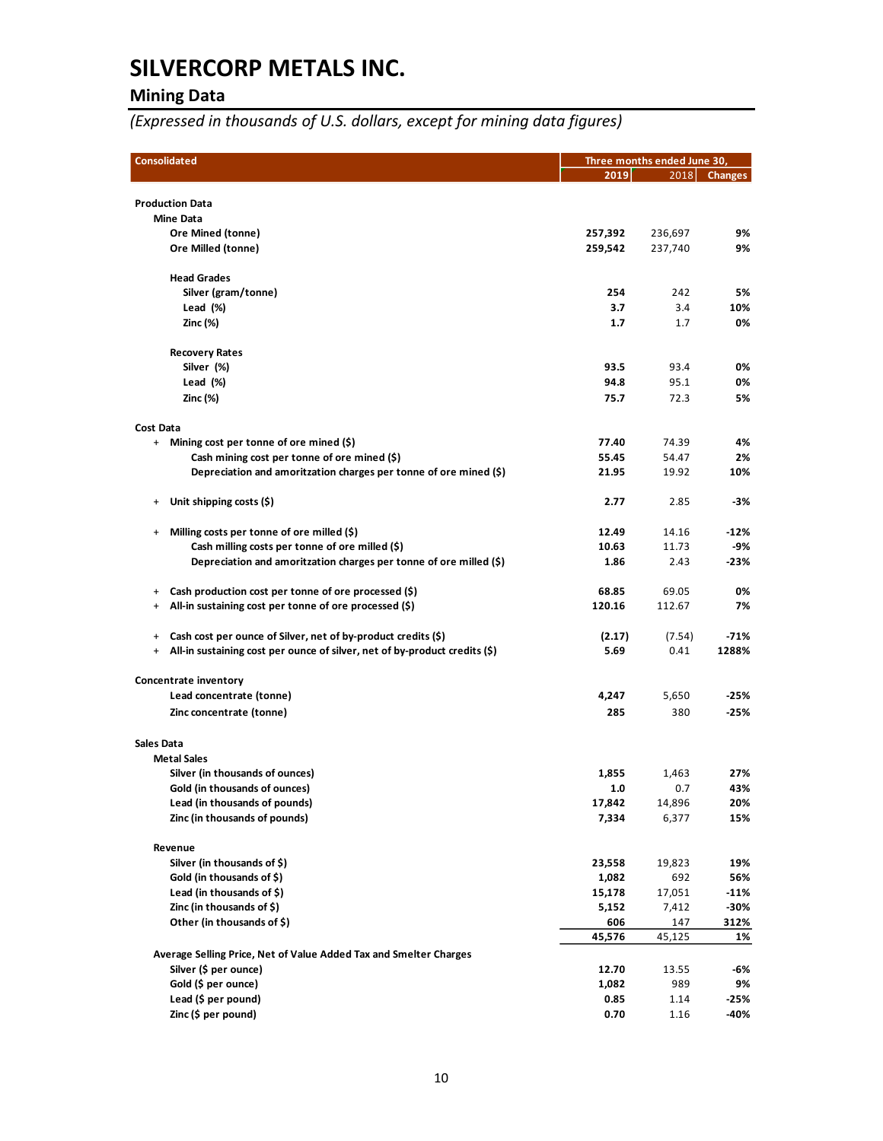## **Mining Data**

*(Expressed in thousands of U.S. dollars, except for mining data figures)*

| <b>Consolidated</b>                                                                  |         | Three months ended June 30, |                |  |  |
|--------------------------------------------------------------------------------------|---------|-----------------------------|----------------|--|--|
|                                                                                      | 2019    | 2018                        | <b>Changes</b> |  |  |
|                                                                                      |         |                             |                |  |  |
| <b>Production Data</b><br><b>Mine Data</b>                                           |         |                             |                |  |  |
| Ore Mined (tonne)                                                                    | 257,392 | 236,697                     | 9%             |  |  |
| Ore Milled (tonne)                                                                   | 259,542 | 237,740                     | 9%             |  |  |
|                                                                                      |         |                             |                |  |  |
| <b>Head Grades</b>                                                                   |         |                             |                |  |  |
| Silver (gram/tonne)                                                                  | 254     | 242                         | 5%             |  |  |
| Lead $(\%)$                                                                          | 3.7     | 3.4                         | 10%            |  |  |
| Zinc (%)                                                                             | 1.7     | 1.7                         | 0%             |  |  |
| <b>Recovery Rates</b>                                                                |         |                             |                |  |  |
| Silver (%)                                                                           | 93.5    | 93.4                        | 0%             |  |  |
| Lead (%)                                                                             | 94.8    | 95.1                        | 0%             |  |  |
| <b>Zinc (%)</b>                                                                      | 75.7    | 72.3                        | 5%             |  |  |
| <b>Cost Data</b>                                                                     |         |                             |                |  |  |
| Mining cost per tonne of ore mined (\$)<br>$+$                                       | 77.40   | 74.39                       | 4%             |  |  |
| Cash mining cost per tonne of ore mined (\$)                                         | 55.45   | 54.47                       | 2%             |  |  |
| Depreciation and amoritzation charges per tonne of ore mined $(\xi)$                 | 21.95   | 19.92                       | 10%            |  |  |
|                                                                                      |         |                             |                |  |  |
| Unit shipping costs (\$)<br>$^{+}$                                                   | 2.77    | 2.85                        | -3%            |  |  |
| Milling costs per tonne of ore milled (\$)<br>$\ddot{}$                              | 12.49   | 14.16                       | $-12%$         |  |  |
| Cash milling costs per tonne of ore milled (\$)                                      | 10.63   | 11.73                       | -9%            |  |  |
| Depreciation and amoritzation charges per tonne of ore milled (\$)                   | 1.86    | 2.43                        | $-23%$         |  |  |
| Cash production cost per tonne of ore processed (\$)<br>$^{+}$                       | 68.85   | 69.05                       | 0%             |  |  |
| All-in sustaining cost per tonne of ore processed (\$)<br>$^{+}$                     | 120.16  | 112.67                      | 7%             |  |  |
|                                                                                      |         |                             |                |  |  |
| Cash cost per ounce of Silver, net of by-product credits (\$)<br>$+$                 | (2.17)  | (7.54)                      | $-71%$         |  |  |
| All-in sustaining cost per ounce of silver, net of by-product credits (\$)<br>$^{+}$ | 5.69    | 0.41                        | 1288%          |  |  |
| Concentrate inventory                                                                |         |                             |                |  |  |
| Lead concentrate (tonne)                                                             | 4,247   | 5,650                       | -25%           |  |  |
| Zinc concentrate (tonne)                                                             | 285     | 380                         | $-25%$         |  |  |
|                                                                                      |         |                             |                |  |  |
| <b>Sales Data</b>                                                                    |         |                             |                |  |  |
| <b>Metal Sales</b><br>Silver (in thousands of ounces)                                | 1,855   | 1,463                       | 27%            |  |  |
| Gold (in thousands of ounces)                                                        | 1.0     | 0.7                         | 43%            |  |  |
| Lead (in thousands of pounds)                                                        | 17,842  | 14,896                      | 20%            |  |  |
| Zinc (in thousands of pounds)                                                        | 7,334   | 6,377                       | 15%            |  |  |
|                                                                                      |         |                             |                |  |  |
| Revenue                                                                              |         |                             |                |  |  |
| Silver (in thousands of \$)                                                          | 23,558  | 19,823                      | 19%            |  |  |
| Gold (in thousands of \$)                                                            | 1,082   | 692                         | 56%            |  |  |
| Lead (in thousands of \$)                                                            | 15,178  | 17,051                      | $-11%$         |  |  |
| Zinc (in thousands of \$)                                                            | 5,152   | 7,412                       | -30%           |  |  |
| Other (in thousands of \$)                                                           | 606     | 147                         | 312%           |  |  |
|                                                                                      | 45,576  | 45,125                      | 1%             |  |  |
| Average Selling Price, Net of Value Added Tax and Smelter Charges                    |         |                             |                |  |  |
| Silver (\$ per ounce)                                                                | 12.70   | 13.55                       | -6%            |  |  |
| Gold (\$ per ounce)                                                                  | 1,082   | 989                         | 9%             |  |  |
| Lead (\$ per pound)                                                                  | 0.85    | 1.14                        | $-25%$<br>-40% |  |  |
| Zinc (\$ per pound)                                                                  | 0.70    | 1.16                        |                |  |  |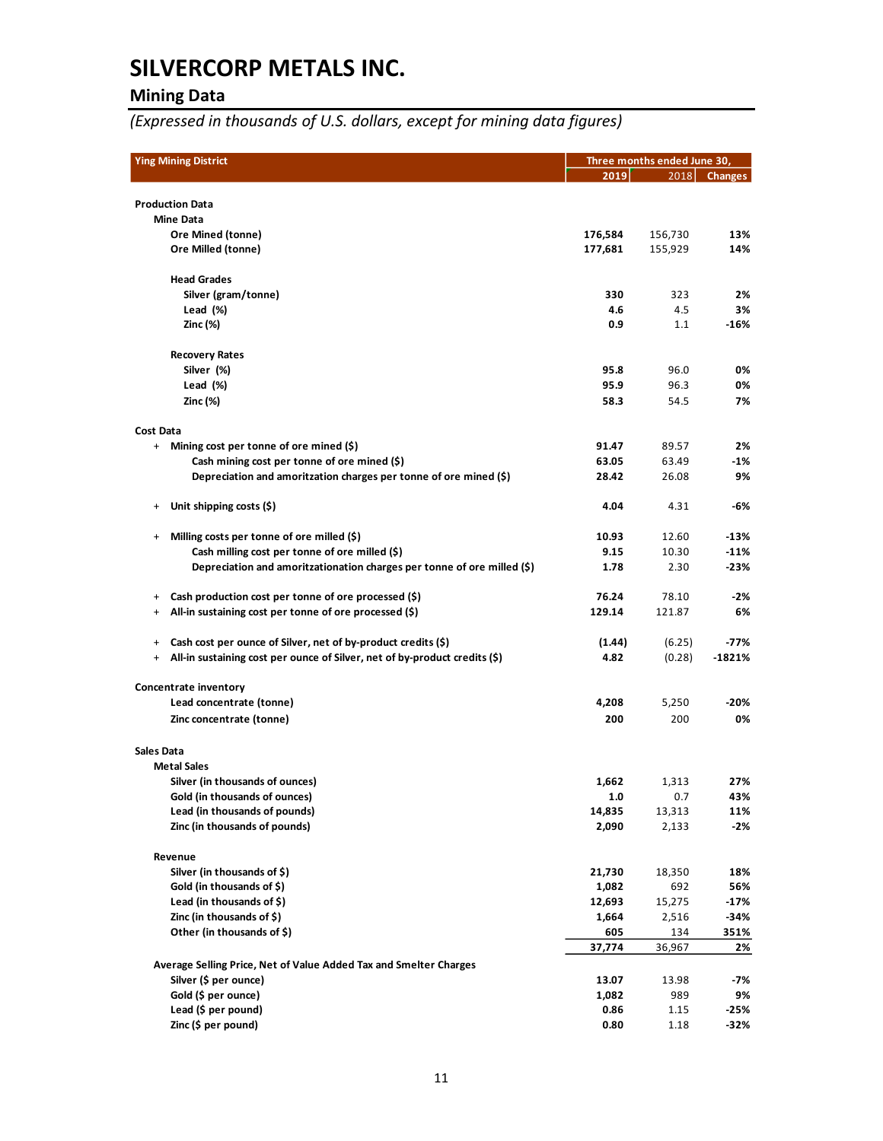## **Mining Data**

*(Expressed in thousands of U.S. dollars, except for mining data figures)*

| <b>Ying Mining District</b>                                                                                         |                 | Three months ended June 30, |                |  |
|---------------------------------------------------------------------------------------------------------------------|-----------------|-----------------------------|----------------|--|
|                                                                                                                     | 2019            | 2018                        | <b>Changes</b> |  |
|                                                                                                                     |                 |                             |                |  |
| <b>Production Data</b>                                                                                              |                 |                             |                |  |
| <b>Mine Data</b><br>Ore Mined (tonne)                                                                               | 176,584         | 156,730                     | 13%            |  |
| Ore Milled (tonne)                                                                                                  | 177,681         | 155,929                     | 14%            |  |
|                                                                                                                     |                 |                             |                |  |
| <b>Head Grades</b>                                                                                                  |                 |                             |                |  |
| Silver (gram/tonne)                                                                                                 | 330             | 323                         | 2%             |  |
| Lead $(\%)$                                                                                                         | 4.6             | 4.5                         | 3%             |  |
| Zinc (%)                                                                                                            | 0.9             | 1.1                         | $-16%$         |  |
| <b>Recovery Rates</b>                                                                                               |                 |                             |                |  |
| Silver (%)                                                                                                          | 95.8            | 96.0                        | 0%             |  |
| Lead (%)                                                                                                            | 95.9            | 96.3                        | 0%             |  |
| Zinc (%)                                                                                                            | 58.3            | 54.5                        | 7%             |  |
| Cost Data                                                                                                           |                 |                             |                |  |
| + Mining cost per tonne of ore mined (\$)                                                                           | 91.47           | 89.57                       | 2%             |  |
| Cash mining cost per tonne of ore mined (\$)                                                                        | 63.05           | 63.49                       | $-1%$          |  |
| Depreciation and amoritzation charges per tonne of ore mined (\$)                                                   | 28.42           | 26.08                       | 9%             |  |
|                                                                                                                     |                 |                             |                |  |
| Unit shipping costs (\$)<br>$^{+}$                                                                                  | 4.04            | 4.31                        | -6%            |  |
| Milling costs per tonne of ore milled (\$)<br>$^{+}$                                                                | 10.93           | 12.60                       | $-13%$         |  |
| Cash milling cost per tonne of ore milled (\$)                                                                      | 9.15            | 10.30                       | $-11%$         |  |
| Depreciation and amoritzationation charges per tonne of ore milled (\$)                                             | 1.78            | 2.30                        | $-23%$         |  |
|                                                                                                                     |                 |                             |                |  |
| Cash production cost per tonne of ore processed (\$)<br>+<br>All-in sustaining cost per tonne of ore processed (\$) | 76.24<br>129.14 | 78.10<br>121.87             | $-2%$<br>6%    |  |
| $^{+}$                                                                                                              |                 |                             |                |  |
| Cash cost per ounce of Silver, net of by-product credits (\$)<br>$\ddot{}$                                          | (1.44)          | (6.25)                      | -77%           |  |
| All-in sustaining cost per ounce of Silver, net of by-product credits (\$)<br>$\ddot{}$                             | 4.82            | (0.28)                      | -1821%         |  |
| Concentrate inventory                                                                                               |                 |                             |                |  |
| Lead concentrate (tonne)                                                                                            | 4,208           | 5,250                       | $-20%$         |  |
| Zinc concentrate (tonne)                                                                                            | 200             | 200                         | 0%             |  |
|                                                                                                                     |                 |                             |                |  |
| <b>Sales Data</b><br><b>Metal Sales</b>                                                                             |                 |                             |                |  |
| Silver (in thousands of ounces)                                                                                     | 1,662           | 1,313                       | 27%            |  |
| Gold (in thousands of ounces)                                                                                       | $1.0$           | 0.7                         | 43%            |  |
| Lead (in thousands of pounds)                                                                                       | 14,835          | 13,313                      | 11%            |  |
| Zinc (in thousands of pounds)                                                                                       | 2,090           | 2,133                       | $-2%$          |  |
| Revenue                                                                                                             |                 |                             |                |  |
| Silver (in thousands of \$)                                                                                         | 21,730          | 18,350                      | 18%            |  |
| Gold (in thousands of \$)                                                                                           | 1,082           | 692                         | 56%            |  |
| Lead (in thousands of \$)                                                                                           | 12,693          | 15,275                      | $-17%$         |  |
| Zinc (in thousands of \$)                                                                                           | 1,664           | 2,516                       | $-34%$         |  |
| Other (in thousands of \$)                                                                                          | 605             | 134                         | 351%           |  |
|                                                                                                                     | 37,774          | 36,967                      | 2%             |  |
| Average Selling Price, Net of Value Added Tax and Smelter Charges                                                   |                 |                             |                |  |
| Silver (\$ per ounce)                                                                                               | 13.07           | 13.98                       | -7%            |  |
| Gold (\$ per ounce)                                                                                                 | 1,082           | 989                         | 9%             |  |
| Lead (\$ per pound)                                                                                                 | 0.86            | 1.15                        | $-25%$         |  |
| Zinc (\$ per pound)                                                                                                 | 0.80            | 1.18                        | $-32%$         |  |